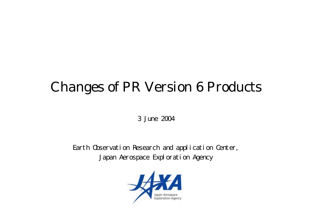# Changes of PR Version 6 Products

3 June 2004

Earth Observation Research and application Center, Japan Aerospace Exploration Agency

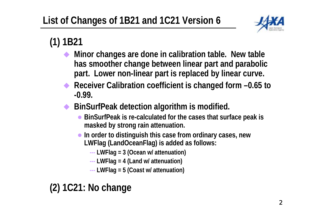

# **(1) 1B21**

- ♦ **Minor changes are done in calibration table. New table has smoother change between linear part and parabolic part. Lower non-linear part is replaced by linear curve.**
- ♦ **Receiver Calibration coefficient is changed form –0.65 to -0.99.**
- $\blacklozenge$  **BinSurfPeak detection algorithm is modified.** 
	- z **BinSurfPeak is re-calculated for the cases that surface peak is masked by strong rain attenuation.**
	- **In order to distinguish this case from ordinary cases, new LWFlag (LandOceanFlag) is added as follows:**
		- **---LWFlag = 3 (Ocean w/ attenuation)**
		- **--- LWFlag = 4 (Land w/ attenuation)**
		- **--- LWFlag = 5 (Coast w/ attenuation)**

# **(2) 1C21: No change**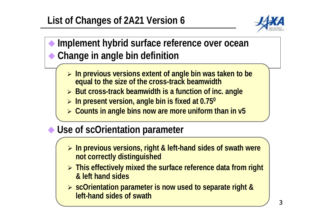# **List of Changes of 2A21 Version 6**



#### **Implement hybrid surface reference over ocean Change in angle bin definition**

- ¾ **In previous versions extent of angle bin was taken to be equal to the size of the cross-track beamwidth**
- ¾ **But cross-track beamwidth is a function of inc. angle**
- ¾ **In present version, angle bin is fixed at 0.750**
- ¾ **Counts in angle bins now are more uniform than in v5**

#### ◆ Use of scOrientation parameter

- ¾ **In previous versions, right & left-hand sides of swath were not correctly distinguished**
- ¾ **This effectively mixed the surface reference data from right & left hand sides**
- ¾ **scOrientation parameter is now used to separate right & left-hand sides of swath**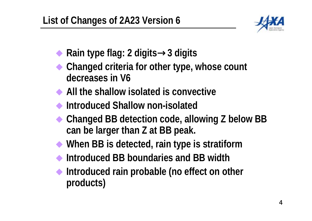

- **Rain type flag: 2 digits**→**3 digits**
- **Changed criteria for other type, whose count decreases in V6**
- **All the shallow isolated is convective**
- **Introduced Shallow non-isolated**
- **Changed BB detection code, allowing Z below BB can be larger than Z at BB peak.**
- **When BB is detected, rain type is stratiform**
- **Introduced BB boundaries and BB width**
- **Introduced rain probable (no effect on other products)**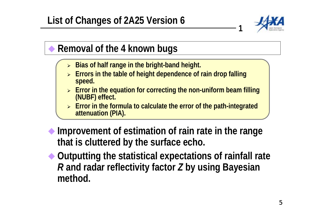

**1**

#### **Removal of the 4 known bugs**

- ¾**Bias of half range in the bright-band height.**
- ¾ **Errors in the table of height dependence of rain drop falling speed.**
- ¾ **Error in the equation for correcting the non-uniform beam filling (NUBF) effect.**
- ¾ **Error in the formula to calculate the error of the path-integrated attenuation (PIA).**
- **Improvement of estimation of rain rate in the range that is cluttered by the surface echo.**
- **Outputting the statistical expectations of rainfall rate**  *R* **and radar reflectivity factor**  *Z* **by using Bayesian method.**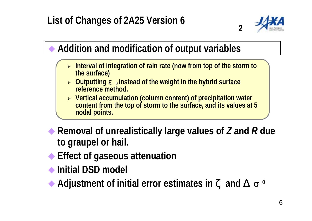

**2**

#### **Addition and modification of output variables**

- $\blacktriangleright$ Interval of integration of rain rate (now from top of the storm to the surface)
- **⊳** Outputting **<u>o</u>** instead of the weight in the hybrid surface **reference method.**
- ¾ **Vertical accumulation (column content) of precipitation water content from the top of storm to the surface, and its values at 5 nodal points.**
- ◆ Removal of unrealistically large values of Z and R due **to graupel or hail.**
- **Effect of gaseous attenuation**
- **Initial DSD model**
	- **Adjustment of initial error estimates in and**  $\alpha$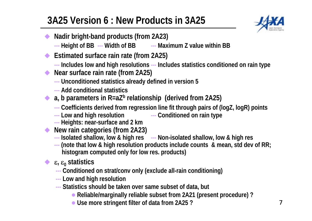# **3A25 Version 6 : New Products in 3A25**



- $\blacklozenge$  **Nadir bright-band products (from 2A23)**
	- **--- Height of BB --- Width of BB --- Maximum Z value within BB**
- $\blacklozenge$  **Estimated surface rain rate (from 2A25)**
	- **--- Includes low and high resolutions --- Includes statistics conditioned on rain type**
- ♦ **Near surface rain rate (from 2A25)** 
	- **--- Unconditioned statistics already defined in version 5**
	- **--- Add conditional statistics**
- ◆ a, b parameters in R=aZ<sup>b</sup> relationship (derived from 2A25)
	- **---Coefficients derived from regression line fit through pairs of (logZ, logR) points**
	- **--- Low and high resolution --- Conditioned on rain type**
	- **--- Heights: near-surface and 2 km**
- **New rain categories (from 2A23)**
	- **--- Isolated shallow, low & high res --- Non-isolated shallow, low & high res**
	- **--- (note that low & high resolution products include counts & mean, std dev of RR; histogram computed only for low res. products)**
	- ε**,** ε **0 statistics**

 $\blacklozenge$ 

- **--- Conditioned on strat/conv only (exclude all-rain conditioning)**
- **--- Low and high resolution**
- **--- Statistics should be taken over same subset of data, but**
	- **Reliable/marginally reliable subset from 2A21 (present procedure) ?**
	- **Use more stringent filter of data from 2A25?**